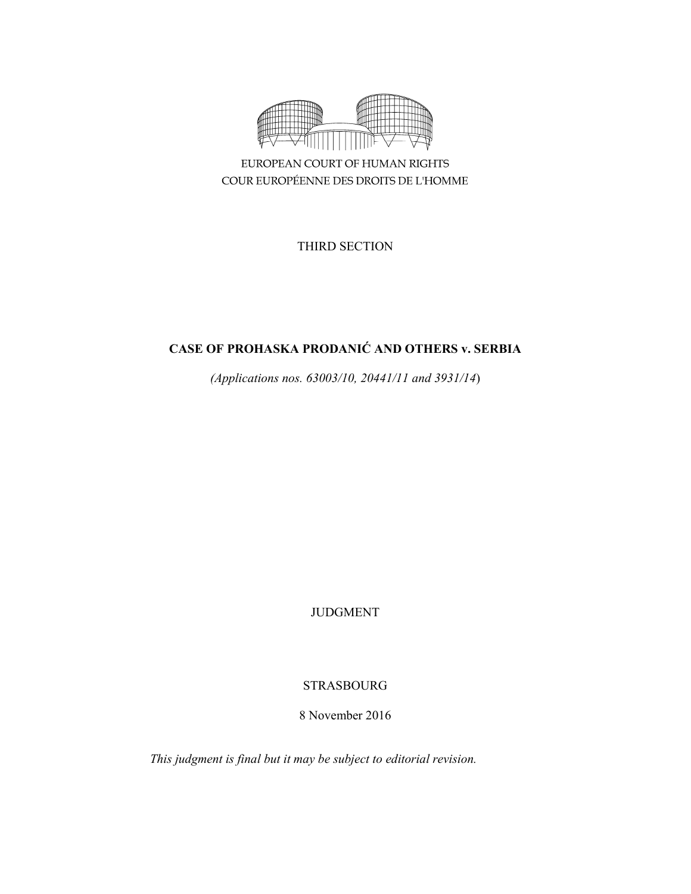

EUROPEAN COURT OF HUMAN RIGHTS COUR EUROPÉENNE DES DROITS DE L'HOMME

THIRD SECTION

# **CASE OF PROHASKA PRODANIĆ AND OTHERS v. SERBIA**

*(Applications nos. 63003/10, 20441/11 and 3931/14*)

JUDGMENT

# STRASBOURG

8 November 2016

*This judgment is final but it may be subject to editorial revision.*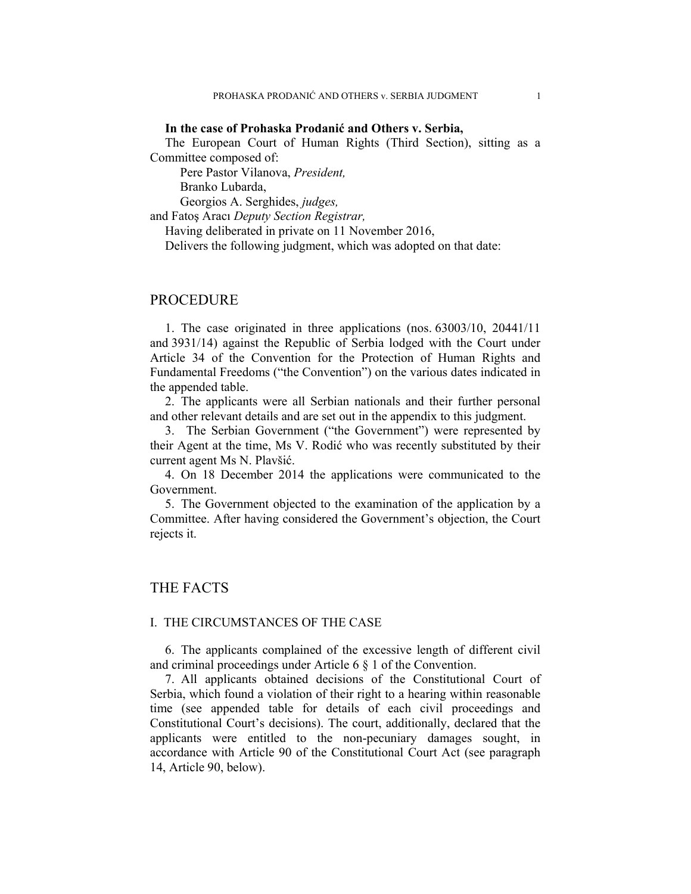### **In the case of Prohaska Prodanić and Others v. Serbia,**

The European Court of Human Rights (Third Section), sitting as a Committee composed of:

Pere Pastor Vilanova, *President,* 

Branko Lubarda,

Georgios A. Serghides, *judges,*

and Fatoş Aracı *Deputy Section Registrar,*

Having deliberated in private on 11 November 2016,

Delivers the following judgment, which was adopted on that date:

# PROCEDURE

1. The case originated in three applications (nos. 63003/10, 20441/11 and 3931/14) against the Republic of Serbia lodged with the Court under Article 34 of the Convention for the Protection of Human Rights and Fundamental Freedoms ("the Convention") on the various dates indicated in the appended table.

2. The applicants were all Serbian nationals and their further personal and other relevant details and are set out in the appendix to this judgment.

3. The Serbian Government ("the Government") were represented by their Agent at the time, Ms V. Rodić who was recently substituted by their current agent Ms N. Plavšić.

4. On 18 December 2014 the applications were communicated to the Government.

5. The Government objected to the examination of the application by a Committee. After having considered the Government's objection, the Court rejects it.

## THE FACTS

### I. THE CIRCUMSTANCES OF THE CASE

6. The applicants complained of the excessive length of different civil and criminal proceedings under Article 6 § 1 of the Convention.

7. All applicants obtained decisions of the Constitutional Court of Serbia, which found a violation of their right to a hearing within reasonable time (see appended table for details of each civil proceedings and Constitutional Court's decisions). The court, additionally, declared that the applicants were entitled to the non-pecuniary damages sought, in accordance with Article 90 of the Constitutional Court Act (see paragraph 14, Article 90, below).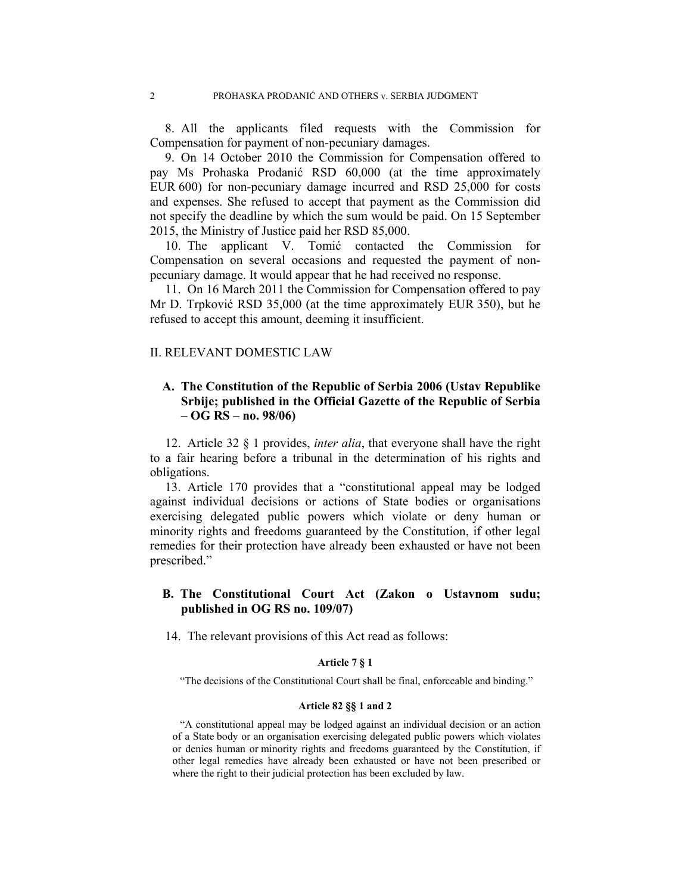8. All the applicants filed requests with the Commission for Compensation for payment of non-pecuniary damages.

9. On 14 October 2010 the Commission for Compensation offered to pay Ms Prohaska Prodanić RSD 60,000 (at the time approximately EUR 600) for non-pecuniary damage incurred and RSD 25,000 for costs and expenses. She refused to accept that payment as the Commission did not specify the deadline by which the sum would be paid. On 15 September 2015, the Ministry of Justice paid her RSD 85,000.

10. The applicant V. Tomić contacted the Commission for Compensation on several occasions and requested the payment of nonpecuniary damage. It would appear that he had received no response.

11. On 16 March 2011 the Commission for Compensation offered to pay Mr D. Trpković RSD 35,000 (at the time approximately EUR 350), but he refused to accept this amount, deeming it insufficient.

## II. RELEVANT DOMESTIC LAW

# **A. The Constitution of the Republic of Serbia 2006 (Ustav Republike Srbije; published in the Official Gazette of the Republic of Serbia – OG RS – no. 98/06)**

12. Article 32 § 1 provides, *inter alia*, that everyone shall have the right to a fair hearing before a tribunal in the determination of his rights and obligations.

13. Article 170 provides that a "constitutional appeal may be lodged against individual decisions or actions of State bodies or organisations exercising delegated public powers which violate or deny human or minority rights and freedoms guaranteed by the Constitution, if other legal remedies for their protection have already been exhausted or have not been prescribed."

## **B. The Constitutional Court Act (Zakon o Ustavnom sudu; published in OG RS no. 109/07)**

14. The relevant provisions of this Act read as follows:

#### **Article 7 § 1**

"The decisions of the Constitutional Court shall be final, enforceable and binding."

### **Article 82 §§ 1 and 2**

"A constitutional appeal may be lodged against an individual decision or an action of a State body or an organisation exercising delegated public powers which violates or denies human or minority rights and freedoms guaranteed by the Constitution, if other legal remedies have already been exhausted or have not been prescribed or where the right to their judicial protection has been excluded by law.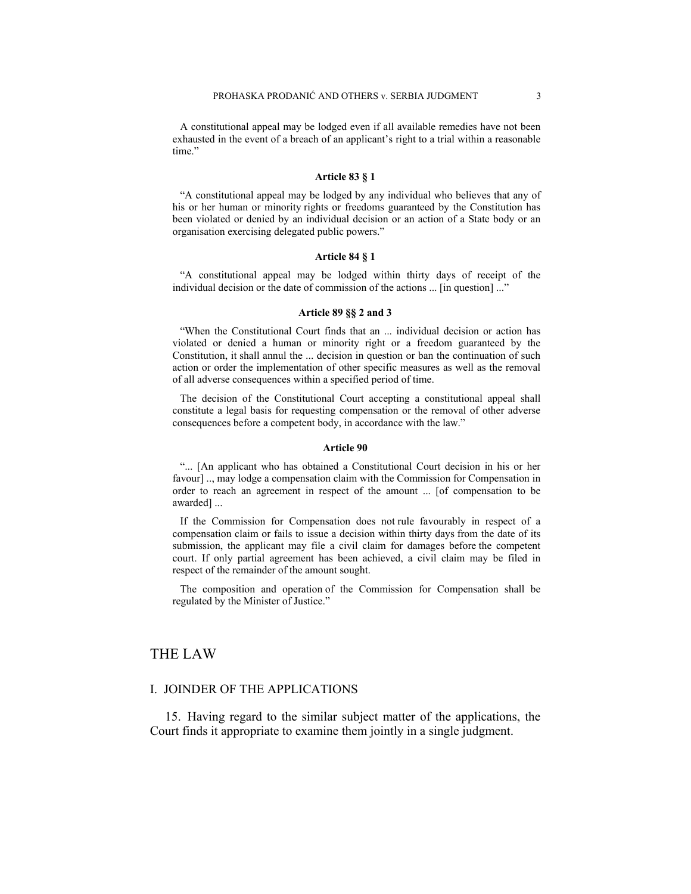A constitutional appeal may be lodged even if all available remedies have not been exhausted in the event of a breach of an applicant's right to a trial within a reasonable time."

#### **Article 83 § 1**

"A constitutional appeal may be lodged by any individual who believes that any of his or her human or minority rights or freedoms guaranteed by the Constitution has been violated or denied by an individual decision or an action of a State body or an organisation exercising delegated public powers."

#### **Article 84 § 1**

"A constitutional appeal may be lodged within thirty days of receipt of the individual decision or the date of commission of the actions ... [in question] ..."

#### **Article 89 §§ 2 and 3**

"When the Constitutional Court finds that an ... individual decision or action has violated or denied a human or minority right or a freedom guaranteed by the Constitution, it shall annul the ... decision in question or ban the continuation of such action or order the implementation of other specific measures as well as the removal of all adverse consequences within a specified period of time.

The decision of the Constitutional Court accepting a constitutional appeal shall constitute a legal basis for requesting compensation or the removal of other adverse consequences before a competent body, in accordance with the law."

#### **Article 90**

"... [An applicant who has obtained a Constitutional Court decision in his or her favour] .., may lodge a compensation claim with the Commission for Compensation in order to reach an agreement in respect of the amount ... [of compensation to be awarded] ...

If the Commission for Compensation does not rule favourably in respect of a compensation claim or fails to issue a decision within thirty days from the date of its submission, the applicant may file a civil claim for damages before the competent court. If only partial agreement has been achieved, a civil claim may be filed in respect of the remainder of the amount sought.

The composition and operation of the Commission for Compensation shall be regulated by the Minister of Justice."

# THE LAW

### I. JOINDER OF THE APPLICATIONS

15. Having regard to the similar subject matter of the applications, the Court finds it appropriate to examine them jointly in a single judgment.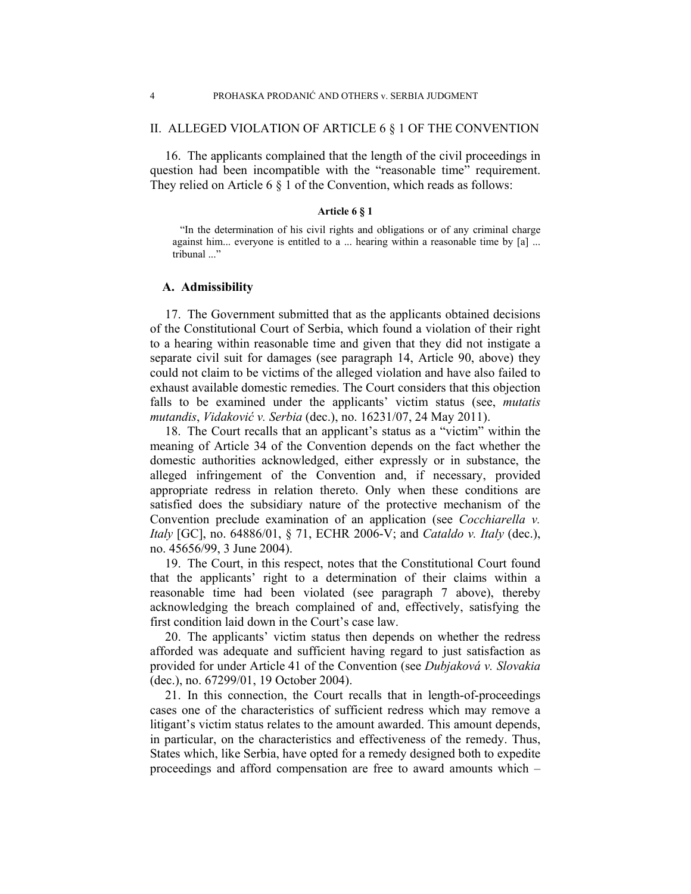### II. ALLEGED VIOLATION OF ARTICLE 6 § 1 OF THE CONVENTION

16. The applicants complained that the length of the civil proceedings in question had been incompatible with the "reasonable time" requirement. They relied on Article 6 § 1 of the Convention, which reads as follows:

### **Article 6 § 1**

"In the determination of his civil rights and obligations or of any criminal charge against him... everyone is entitled to a ... hearing within a reasonable time by [a] ... tribunal ..."

### **A. Admissibility**

17. The Government submitted that as the applicants obtained decisions of the Constitutional Court of Serbia, which found a violation of their right to a hearing within reasonable time and given that they did not instigate a separate civil suit for damages (see paragraph 14, Article 90, above) they could not claim to be victims of the alleged violation and have also failed to exhaust available domestic remedies. The Court considers that this objection falls to be examined under the applicants' victim status (see, *mutatis mutandis*, *Vidaković v. Serbia* (dec.), no. 16231/07, 24 May 2011).

18. The Court recalls that an applicant's status as a "victim" within the meaning of Article 34 of the Convention depends on the fact whether the domestic authorities acknowledged, either expressly or in substance, the alleged infringement of the Convention and, if necessary, provided appropriate redress in relation thereto. Only when these conditions are satisfied does the subsidiary nature of the protective mechanism of the Convention preclude examination of an application (see *Cocchiarella v. Italy* [GC], no. 64886/01, § 71, ECHR 2006-V; and *Cataldo v. Italy* (dec.), no. 45656/99, 3 June 2004).

19. The Court, in this respect, notes that the Constitutional Court found that the applicants' right to a determination of their claims within a reasonable time had been violated (see paragraph 7 above), thereby acknowledging the breach complained of and, effectively, satisfying the first condition laid down in the Court's case law.

20. The applicants' victim status then depends on whether the redress afforded was adequate and sufficient having regard to just satisfaction as provided for under Article 41 of the Convention (see *Dubjaková v. Slovakia* (dec.), no. 67299/01, 19 October 2004).

21. In this connection, the Court recalls that in length-of-proceedings cases one of the characteristics of sufficient redress which may remove a litigant's victim status relates to the amount awarded. This amount depends, in particular, on the characteristics and effectiveness of the remedy. Thus, States which, like Serbia, have opted for a remedy designed both to expedite proceedings and afford compensation are free to award amounts which –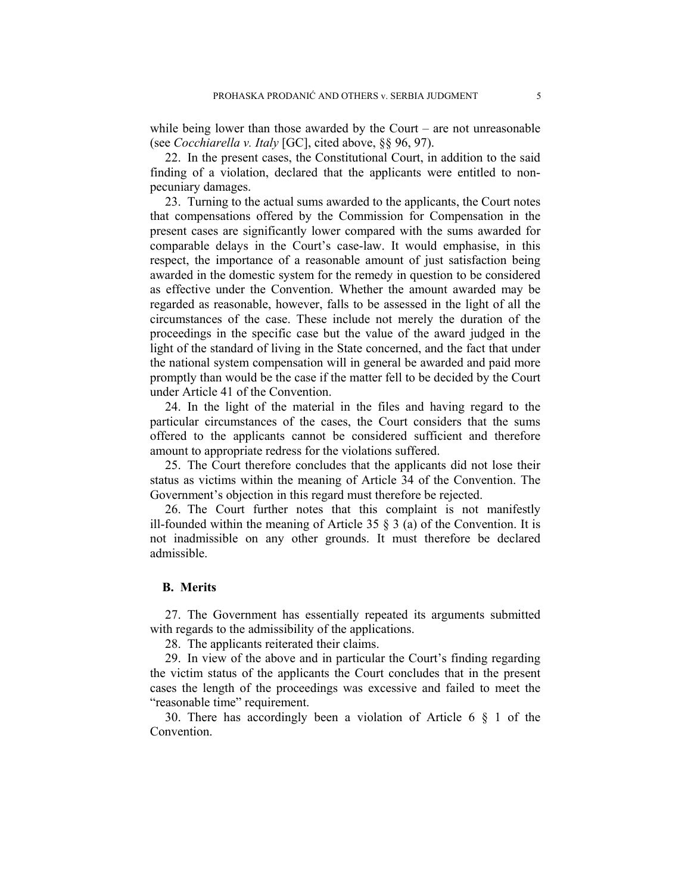while being lower than those awarded by the Court – are not unreasonable (see *Cocchiarella v. Italy* [GC], cited above, §§ 96, 97).

22. In the present cases, the Constitutional Court, in addition to the said finding of a violation, declared that the applicants were entitled to nonpecuniary damages.

23. Turning to the actual sums awarded to the applicants, the Court notes that compensations offered by the Commission for Compensation in the present cases are significantly lower compared with the sums awarded for comparable delays in the Court's case-law. It would emphasise, in this respect, the importance of a reasonable amount of just satisfaction being awarded in the domestic system for the remedy in question to be considered as effective under the Convention. Whether the amount awarded may be regarded as reasonable, however, falls to be assessed in the light of all the circumstances of the case. These include not merely the duration of the proceedings in the specific case but the value of the award judged in the light of the standard of living in the State concerned, and the fact that under the national system compensation will in general be awarded and paid more promptly than would be the case if the matter fell to be decided by the Court under Article 41 of the Convention.

24. In the light of the material in the files and having regard to the particular circumstances of the cases, the Court considers that the sums offered to the applicants cannot be considered sufficient and therefore amount to appropriate redress for the violations suffered.

25. The Court therefore concludes that the applicants did not lose their status as victims within the meaning of Article 34 of the Convention. The Government's objection in this regard must therefore be rejected.

26. The Court further notes that this complaint is not manifestly ill-founded within the meaning of Article 35  $\S$  3 (a) of the Convention. It is not inadmissible on any other grounds. It must therefore be declared admissible.

## **B. Merits**

27. The Government has essentially repeated its arguments submitted with regards to the admissibility of the applications.

28. The applicants reiterated their claims.

29. In view of the above and in particular the Court's finding regarding the victim status of the applicants the Court concludes that in the present cases the length of the proceedings was excessive and failed to meet the "reasonable time" requirement.

30. There has accordingly been a violation of Article 6 § 1 of the Convention.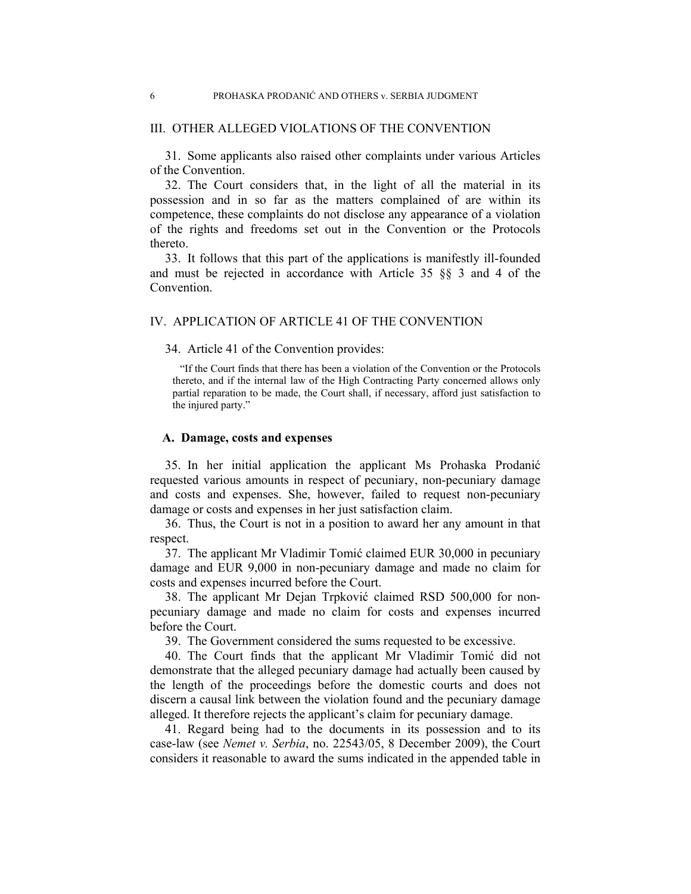### III. OTHER ALLEGED VIOLATIONS OF THE CONVENTION

31. Some applicants also raised other complaints under various Articles of the Convention.

32. The Court considers that, in the light of all the material in its possession and in so far as the matters complained of are within its competence, these complaints do not disclose any appearance of a violation of the rights and freedoms set out in the Convention or the Protocols thereto.

33. It follows that this part of the applications is manifestly ill-founded and must be rejected in accordance with Article 35 §§ 3 and 4 of the Convention.

### IV. APPLICATION OF ARTICLE 41 OF THE CONVENTION

34. Article 41 of the Convention provides:

"If the Court finds that there has been a violation of the Convention or the Protocols thereto, and if the internal law of the High Contracting Party concerned allows only partial reparation to be made, the Court shall, if necessary, afford just satisfaction to the injured party."

### **A. Damage, costs and expenses**

35. In her initial application the applicant Ms Prohaska Prodanić requested various amounts in respect of pecuniary, non-pecuniary damage and costs and expenses. She, however, failed to request non-pecuniary damage or costs and expenses in her just satisfaction claim.

36. Thus, the Court is not in a position to award her any amount in that respect.

37. The applicant Mr Vladimir Tomić claimed EUR 30,000 in pecuniary damage and EUR 9,000 in non-pecuniary damage and made no claim for costs and expenses incurred before the Court.

38. The applicant Mr Dejan Trpković claimed RSD 500,000 for nonpecuniary damage and made no claim for costs and expenses incurred before the Court.

39. The Government considered the sums requested to be excessive.

40. The Court finds that the applicant Mr Vladimir Tomić did not demonstrate that the alleged pecuniary damage had actually been caused by the length of the proceedings before the domestic courts and does not discern a causal link between the violation found and the pecuniary damage alleged. It therefore rejects the applicant's claim for pecuniary damage.

41. Regard being had to the documents in its possession and to its case-law (see *Nemet v. Serbia*, no. 22543/05, 8 December 2009), the Court considers it reasonable to award the sums indicated in the appended table in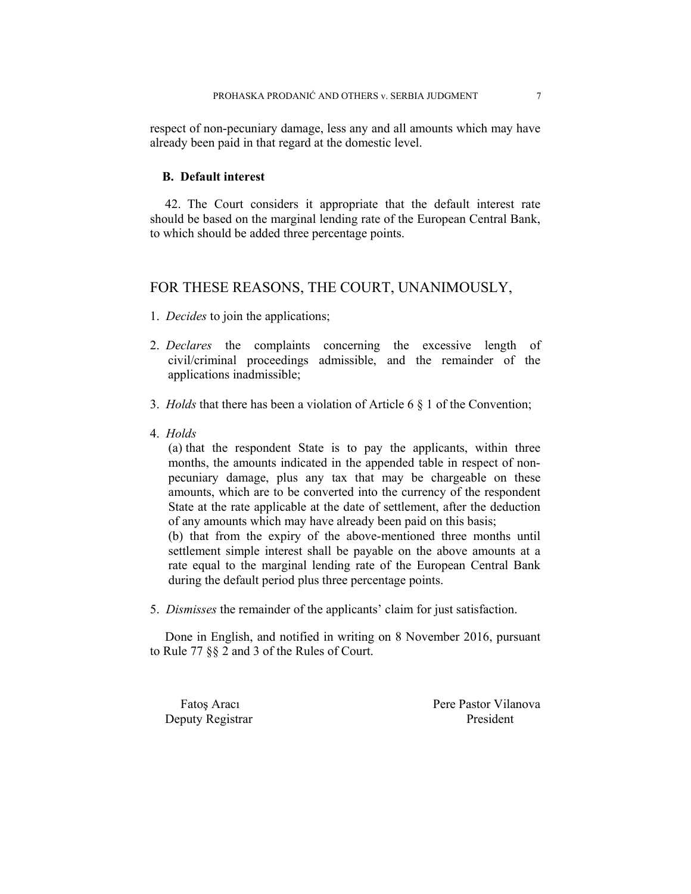respect of non-pecuniary damage, less any and all amounts which may have already been paid in that regard at the domestic level.

### **B. Default interest**

42. The Court considers it appropriate that the default interest rate should be based on the marginal lending rate of the European Central Bank, to which should be added three percentage points.

# FOR THESE REASONS, THE COURT, UNANIMOUSLY,

- 1. *Decides* to join the applications;
- 2. *Declares* the complaints concerning the excessive length of civil/criminal proceedings admissible, and the remainder of the applications inadmissible;
- 3. *Holds* that there has been a violation of Article 6 § 1 of the Convention;
- 4. *Holds*

(a) that the respondent State is to pay the applicants, within three months, the amounts indicated in the appended table in respect of nonpecuniary damage, plus any tax that may be chargeable on these amounts, which are to be converted into the currency of the respondent State at the rate applicable at the date of settlement, after the deduction of any amounts which may have already been paid on this basis;

(b) that from the expiry of the above-mentioned three months until settlement simple interest shall be payable on the above amounts at a rate equal to the marginal lending rate of the European Central Bank during the default period plus three percentage points.

5. *Dismisses* the remainder of the applicants' claim for just satisfaction.

Done in English, and notified in writing on 8 November 2016, pursuant to Rule 77 §§ 2 and 3 of the Rules of Court.

Deputy Registrar President

Fatos Aracı Pere Pastor Vilanova